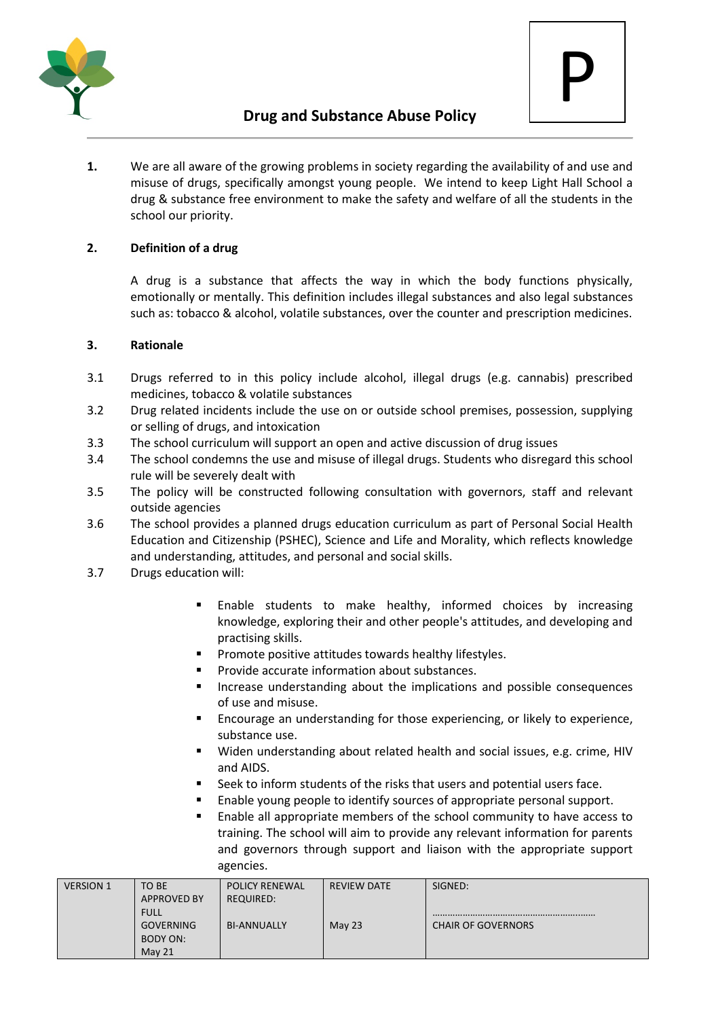



**1.** We are all aware of the growing problems in society regarding the availability of and use and misuse of drugs, specifically amongst young people. We intend to keep Light Hall School a drug & substance free environment to make the safety and welfare of all the students in the school our priority.

# **2. Definition of a drug**

A drug is a substance that affects the way in which the body functions physically, emotionally or mentally. This definition includes illegal substances and also legal substances such as: tobacco & alcohol, volatile substances, over the counter and prescription medicines.

### **3. Rationale**

- 3.1 Drugs referred to in this policy include alcohol, illegal drugs (e.g. cannabis) prescribed medicines, tobacco & volatile substances
- 3.2 Drug related incidents include the use on or outside school premises, possession, supplying or selling of drugs, and intoxication
- 3.3 The school curriculum will support an open and active discussion of drug issues
- 3.4 The school condemns the use and misuse of illegal drugs. Students who disregard this school rule will be severely dealt with
- 3.5 The policy will be constructed following consultation with governors, staff and relevant outside agencies
- 3.6 The school provides a planned drugs education curriculum as part of Personal Social Health Education and Citizenship (PSHEC), Science and Life and Morality, which reflects knowledge and understanding, attitudes, and personal and social skills.
- 3.7 Drugs education will:
	- **Enable students to make healthy, informed choices by increasing** knowledge, exploring their and other people's attitudes, and developing and practising skills.
	- Promote positive attitudes towards healthy lifestyles.
	- Provide accurate information about substances.
	- Increase understanding about the implications and possible consequences of use and misuse.
	- Encourage an understanding for those experiencing, or likely to experience, substance use.
	- Widen understanding about related health and social issues, e.g. crime, HIV and AIDS.
	- Seek to inform students of the risks that users and potential users face.
	- Enable young people to identify sources of appropriate personal support.
	- Enable all appropriate members of the school community to have access to training. The school will aim to provide any relevant information for parents and governors through support and liaison with the appropriate support agencies.

| <b>VERSION 1</b> | TO BE              | <b>POLICY RENEWAL</b> | REVIEW DATE | SIGNED:                   |
|------------------|--------------------|-----------------------|-------------|---------------------------|
|                  | <b>APPROVED BY</b> | <b>REQUIRED:</b>      |             |                           |
|                  | <b>FULL</b>        |                       |             |                           |
|                  | <b>GOVERNING</b>   | <b>BI-ANNUALLY</b>    | May 23      | <b>CHAIR OF GOVERNORS</b> |
|                  | BODY ON:           |                       |             |                           |
|                  | May 21             |                       |             |                           |